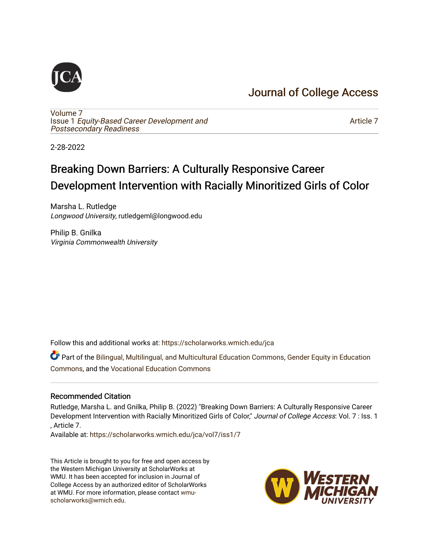# [Journal of College Access](https://scholarworks.wmich.edu/jca)

[Volume 7](https://scholarworks.wmich.edu/jca/vol7) Issue 1 [Equity-Based Career Development and](https://scholarworks.wmich.edu/jca/vol7/iss1) [Postsecondary Readiness](https://scholarworks.wmich.edu/jca/vol7/iss1) 

[Article 7](https://scholarworks.wmich.edu/jca/vol7/iss1/7) 

2-28-2022

# Breaking Down Barriers: A Culturally Responsive Career Development Intervention with Racially Minoritized Girls of Color

Marsha L. Rutledge Longwood University, rutledgeml@longwood.edu

Philip B. Gnilka Virginia Commonwealth University

Follow this and additional works at: [https://scholarworks.wmich.edu/jca](https://scholarworks.wmich.edu/jca?utm_source=scholarworks.wmich.edu%2Fjca%2Fvol7%2Fiss1%2F7&utm_medium=PDF&utm_campaign=PDFCoverPages)

Part of the [Bilingual, Multilingual, and Multicultural Education Commons,](http://network.bepress.com/hgg/discipline/785?utm_source=scholarworks.wmich.edu%2Fjca%2Fvol7%2Fiss1%2F7&utm_medium=PDF&utm_campaign=PDFCoverPages) Gender Equity in Education [Commons](http://network.bepress.com/hgg/discipline/1376?utm_source=scholarworks.wmich.edu%2Fjca%2Fvol7%2Fiss1%2F7&utm_medium=PDF&utm_campaign=PDFCoverPages), and the [Vocational Education Commons](http://network.bepress.com/hgg/discipline/1369?utm_source=scholarworks.wmich.edu%2Fjca%2Fvol7%2Fiss1%2F7&utm_medium=PDF&utm_campaign=PDFCoverPages) 

### Recommended Citation

Rutledge, Marsha L. and Gnilka, Philip B. (2022) "Breaking Down Barriers: A Culturally Responsive Career Development Intervention with Racially Minoritized Girls of Color," Journal of College Access: Vol. 7 : Iss. 1 , Article 7.

Available at: [https://scholarworks.wmich.edu/jca/vol7/iss1/7](https://scholarworks.wmich.edu/jca/vol7/iss1/7?utm_source=scholarworks.wmich.edu%2Fjca%2Fvol7%2Fiss1%2F7&utm_medium=PDF&utm_campaign=PDFCoverPages) 

This Article is brought to you for free and open access by the Western Michigan University at ScholarWorks at WMU. It has been accepted for inclusion in Journal of College Access by an authorized editor of ScholarWorks at WMU. For more information, please contact [wmu](mailto:wmu-scholarworks@wmich.edu)[scholarworks@wmich.edu.](mailto:wmu-scholarworks@wmich.edu)

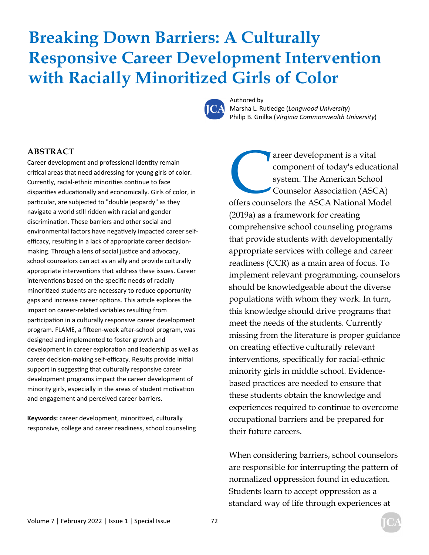# **Breaking Down Barriers: A Culturally Responsive Career Development Intervention with Racially Minoritized Girls of Color**



Authored by Marsha L. Rutledge (*Longwood University*) Philip B. Gnilka (*Virginia Commonwealth University*)

### **ABSTRACT**

Career development and professional identity remain critical areas that need addressing for young girls of color. Currently, racial-ethnic minorities continue to face disparities educationally and economically. Girls of color, in particular, are subjected to "double jeopardy" as they navigate a world still ridden with racial and gender discrimination. These barriers and other social and environmental factors have negatively impacted career selfefficacy, resulting in a lack of appropriate career decisionmaking. Through a lens of social justice and advocacy, school counselors can act as an ally and provide culturally appropriate interventions that address these issues. Career interventions based on the specific needs of racially minoritized students are necessary to reduce opportunity gaps and increase career options. This article explores the impact on career-related variables resulting from participation in a culturally responsive career development program. FLAME, a fifteen-week after-school program, was designed and implemented to foster growth and development in career exploration and leadership as well as career decision-making self-efficacy. Results provide initial support in suggesting that culturally responsive career development programs impact the career development of minority girls, especially in the areas of student motivation and engagement and perceived career barriers.

Keywords: career development, minoritized, culturally responsive, college and career readiness, school counseling

The American School Counselors the ASCA National Model Counselors the ASCA National Model component of today's educational system. The American School Counselor Association (ASCA) (2019a) as a framework for creating comprehensive school counseling programs that provide students with developmentally appropriate services with college and career readiness (CCR) as a main area of focus. To implement relevant programming, counselors should be knowledgeable about the diverse populations with whom they work. In turn, this knowledge should drive programs that meet the needs of the students. Currently missing from the literature is proper guidance on creating effective culturally relevant interventions, specifically for racial-ethnic minority girls in middle school. Evidencebased practices are needed to ensure that these students obtain the knowledge and experiences required to continue to overcome occupational barriers and be prepared for their future careers.

When considering barriers, school counselors are responsible for interrupting the pattern of normalized oppression found in education. Students learn to accept oppression as a standard way of life through experiences at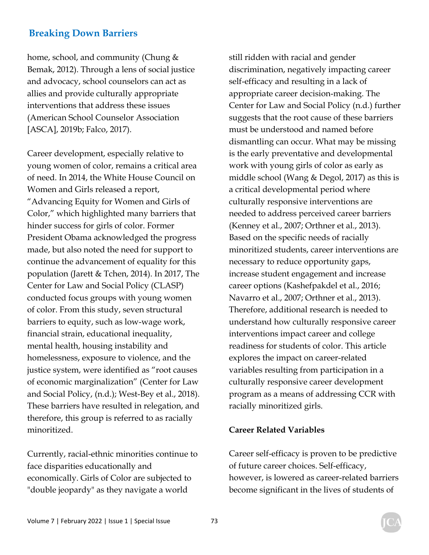home, school, and community (Chung & Bemak, 2012). Through a lens of social justice and advocacy, school counselors can act as allies and provide culturally appropriate interventions that address these issues (American School Counselor Association [ASCA], 2019b; Falco, 2017).

Career development, especially relative to young women of color, remains a critical area of need. In 2014, the White House Council on Women and Girls released a report, "Advancing Equity for Women and Girls of Color," which highlighted many barriers that hinder success for girls of color. Former President Obama acknowledged the progress made, but also noted the need for support to continue the advancement of equality for this population (Jarett & Tchen, 2014). In 2017, The Center for Law and Social Policy (CLASP) conducted focus groups with young women of color. From this study, seven structural barriers to equity, such as low-wage work, financial strain, educational inequality, mental health, housing instability and homelessness, exposure to violence, and the justice system, were identified as "root causes of economic marginalization" (Center for Law and Social Policy, (n.d.); West-Bey et al., 2018). These barriers have resulted in relegation, and therefore, this group is referred to as racially minoritized.

Currently, racial-ethnic minorities continue to face disparities educationally and economically. Girls of Color are subjected to "double jeopardy" as they navigate a world

still ridden with racial and gender discrimination, negatively impacting career self-efficacy and resulting in a lack of appropriate career decision-making. The Center for Law and Social Policy (n.d.) further suggests that the root cause of these barriers must be understood and named before dismantling can occur. What may be missing is the early preventative and developmental work with young girls of color as early as middle school (Wang & Degol, 2017) as this is a critical developmental period where culturally responsive interventions are needed to address perceived career barriers (Kenney et al., 2007; Orthner et al., 2013). Based on the specific needs of racially minoritized students, career interventions are necessary to reduce opportunity gaps, increase student engagement and increase career options (Kashefpakdel et al., 2016; Navarro et al., 2007; Orthner et al., 2013). Therefore, additional research is needed to understand how culturally responsive career interventions impact career and college readiness for students of color. This article explores the impact on career-related variables resulting from participation in a culturally responsive career development program as a means of addressing CCR with racially minoritized girls.

### **Career Related Variables**

Career self-efficacy is proven to be predictive of future career choices. Self-efficacy, however, is lowered as career-related barriers become significant in the lives of students of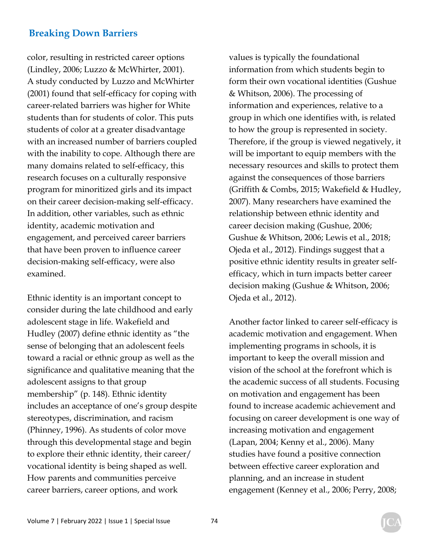color, resulting in restricted career options (Lindley, 2006; Luzzo & McWhirter, 2001). A study conducted by Luzzo and McWhirter (2001) found that self-efficacy for coping with career-related barriers was higher for White students than for students of color. This puts students of color at a greater disadvantage with an increased number of barriers coupled with the inability to cope. Although there are many domains related to self-efficacy, this research focuses on a culturally responsive program for minoritized girls and its impact on their career decision-making self-efficacy. In addition, other variables, such as ethnic identity, academic motivation and engagement, and perceived career barriers that have been proven to influence career decision-making self-efficacy, were also examined.

Ethnic identity is an important concept to consider during the late childhood and early adolescent stage in life. Wakefield and Hudley (2007) define ethnic identity as "the sense of belonging that an adolescent feels toward a racial or ethnic group as well as the significance and qualitative meaning that the adolescent assigns to that group membership" (p. 148). Ethnic identity includes an acceptance of one's group despite stereotypes, discrimination, and racism (Phinney, 1996). As students of color move through this developmental stage and begin to explore their ethnic identity, their career/ vocational identity is being shaped as well. How parents and communities perceive career barriers, career options, and work

values is typically the foundational information from which students begin to form their own vocational identities (Gushue & Whitson, 2006). The processing of information and experiences, relative to a group in which one identifies with, is related to how the group is represented in society. Therefore, if the group is viewed negatively, it will be important to equip members with the necessary resources and skills to protect them against the consequences of those barriers (Griffith & Combs, 2015; Wakefield & Hudley, 2007). Many researchers have examined the relationship between ethnic identity and career decision making (Gushue, 2006; Gushue & Whitson, 2006; Lewis et al., 2018; Ojeda et al., 2012). Findings suggest that a positive ethnic identity results in greater selfefficacy, which in turn impacts better career decision making (Gushue & Whitson, 2006; Ojeda et al., 2012).

Another factor linked to career self-efficacy is academic motivation and engagement. When implementing programs in schools, it is important to keep the overall mission and vision of the school at the forefront which is the academic success of all students. Focusing on motivation and engagement has been found to increase academic achievement and focusing on career development is one way of increasing motivation and engagement (Lapan, 2004; Kenny et al., 2006). Many studies have found a positive connection between effective career exploration and planning, and an increase in student engagement (Kenney et al., 2006; Perry, 2008;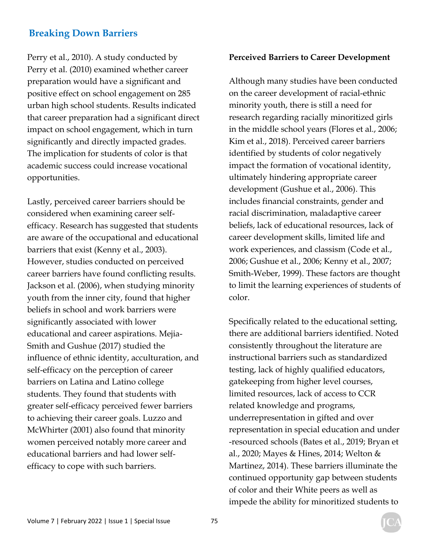Perry et al., 2010). A study conducted by Perry et al. (2010) examined whether career preparation would have a significant and positive effect on school engagement on 285 urban high school students. Results indicated that career preparation had a significant direct impact on school engagement, which in turn significantly and directly impacted grades. The implication for students of color is that academic success could increase vocational opportunities.

Lastly, perceived career barriers should be considered when examining career selfefficacy. Research has suggested that students are aware of the occupational and educational barriers that exist (Kenny et al., 2003). However, studies conducted on perceived career barriers have found conflicting results. Jackson et al. (2006), when studying minority youth from the inner city, found that higher beliefs in school and work barriers were significantly associated with lower educational and career aspirations. Mejia-Smith and Gushue (2017) studied the influence of ethnic identity, acculturation, and self-efficacy on the perception of career barriers on Latina and Latino college students. They found that students with greater self-efficacy perceived fewer barriers to achieving their career goals. Luzzo and McWhirter (2001) also found that minority women perceived notably more career and educational barriers and had lower selfefficacy to cope with such barriers.

### **Perceived Barriers to Career Development**

Although many studies have been conducted on the career development of racial-ethnic minority youth, there is still a need for research regarding racially minoritized girls in the middle school years (Flores et al., 2006; Kim et al., 2018). Perceived career barriers identified by students of color negatively impact the formation of vocational identity, ultimately hindering appropriate career development (Gushue et al., 2006). This includes financial constraints, gender and racial discrimination, maladaptive career beliefs, lack of educational resources, lack of career development skills, limited life and work experiences, and classism (Code et al., 2006; Gushue et al., 2006; Kenny et al., 2007; Smith-Weber, 1999). These factors are thought to limit the learning experiences of students of color.

Specifically related to the educational setting, there are additional barriers identified. Noted consistently throughout the literature are instructional barriers such as standardized testing, lack of highly qualified educators, gatekeeping from higher level courses, limited resources, lack of access to CCR related knowledge and programs, underrepresentation in gifted and over representation in special education and under -resourced schools (Bates et al., 2019; Bryan et al., 2020; Mayes & Hines, 2014; Welton & Martinez, 2014). These barriers illuminate the continued opportunity gap between students of color and their White peers as well as impede the ability for minoritized students to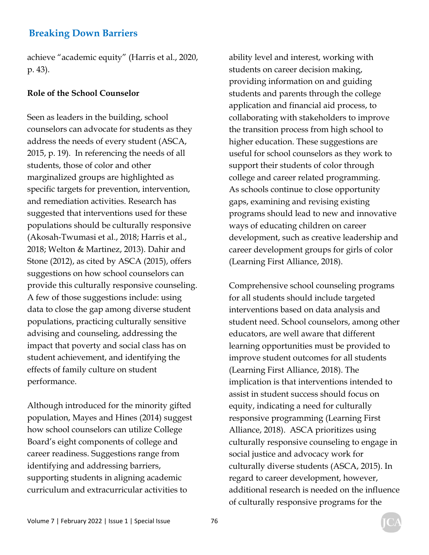achieve "academic equity" (Harris et al., 2020, p. 43).

### **Role of the School Counselor**

Seen as leaders in the building, school counselors can advocate for students as they address the needs of every student (ASCA, 2015, p. 19). In referencing the needs of all students, those of color and other marginalized groups are highlighted as specific targets for prevention, intervention, and remediation activities. Research has suggested that interventions used for these populations should be culturally responsive (Akosah-Twumasi et al., 2018; Harris et al., 2018; Welton & Martinez, 2013). Dahir and Stone (2012), as cited by ASCA (2015), offers suggestions on how school counselors can provide this culturally responsive counseling. A few of those suggestions include: using data to close the gap among diverse student populations, practicing culturally sensitive advising and counseling, addressing the impact that poverty and social class has on student achievement, and identifying the effects of family culture on student performance.

Although introduced for the minority gifted population, Mayes and Hines (2014) suggest how school counselors can utilize College Board's eight components of college and career readiness. Suggestions range from identifying and addressing barriers, supporting students in aligning academic curriculum and extracurricular activities to

ability level and interest, working with students on career decision making, providing information on and guiding students and parents through the college application and financial aid process, to collaborating with stakeholders to improve the transition process from high school to higher education. These suggestions are useful for school counselors as they work to support their students of color through college and career related programming. As schools continue to close opportunity gaps, examining and revising existing programs should lead to new and innovative ways of educating children on career development, such as creative leadership and career development groups for girls of color (Learning First Alliance, 2018).

Comprehensive school counseling programs for all students should include targeted interventions based on data analysis and student need. School counselors, among other educators, are well aware that different learning opportunities must be provided to improve student outcomes for all students (Learning First Alliance, 2018). The implication is that interventions intended to assist in student success should focus on equity, indicating a need for culturally responsive programming (Learning First Alliance, 2018). ASCA prioritizes using culturally responsive counseling to engage in social justice and advocacy work for culturally diverse students (ASCA, 2015). In regard to career development, however, additional research is needed on the influence of culturally responsive programs for the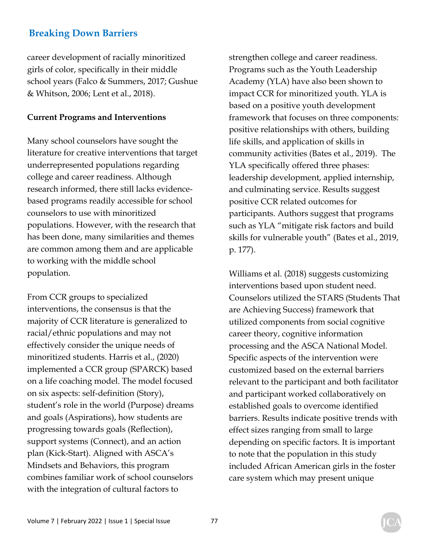career development of racially minoritized girls of color, specifically in their middle school years (Falco & Summers, 2017; Gushue & Whitson, 2006; Lent et al., 2018).

### **Current Programs and Interventions**

Many school counselors have sought the literature for creative interventions that target underrepresented populations regarding college and career readiness. Although research informed, there still lacks evidencebased programs readily accessible for school counselors to use with minoritized populations. However, with the research that has been done, many similarities and themes are common among them and are applicable to working with the middle school population.

From CCR groups to specialized interventions, the consensus is that the majority of CCR literature is generalized to racial/ethnic populations and may not effectively consider the unique needs of minoritized students. Harris et al., (2020) implemented a CCR group (SPARCK) based on a life coaching model. The model focused on six aspects: self-definition (Story), student's role in the world (Purpose) dreams and goals (Aspirations), how students are progressing towards goals (Reflection), support systems (Connect), and an action plan (Kick-Start). Aligned with ASCA's Mindsets and Behaviors, this program combines familiar work of school counselors with the integration of cultural factors to

strengthen college and career readiness. Programs such as the Youth Leadership Academy (YLA) have also been shown to impact CCR for minoritized youth. YLA is based on a positive youth development framework that focuses on three components: positive relationships with others, building life skills, and application of skills in community activities (Bates et al., 2019). The YLA specifically offered three phases: leadership development, applied internship, and culminating service. Results suggest positive CCR related outcomes for participants. Authors suggest that programs such as YLA "mitigate risk factors and build skills for vulnerable youth" (Bates et al., 2019, p. 177).

Williams et al. (2018) suggests customizing interventions based upon student need. Counselors utilized the STARS (Students That are Achieving Success) framework that utilized components from social cognitive career theory, cognitive information processing and the ASCA National Model. Specific aspects of the intervention were customized based on the external barriers relevant to the participant and both facilitator and participant worked collaboratively on established goals to overcome identified barriers. Results indicate positive trends with effect sizes ranging from small to large depending on specific factors. It is important to note that the population in this study included African American girls in the foster care system which may present unique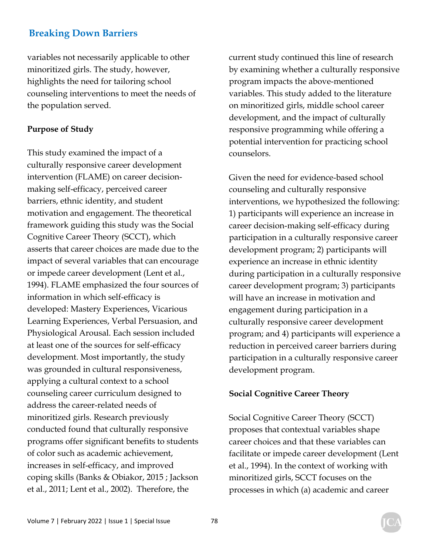variables not necessarily applicable to other minoritized girls. The study, however, highlights the need for tailoring school counseling interventions to meet the needs of the population served.

### **Purpose of Study**

This study examined the impact of a culturally responsive career development intervention (FLAME) on career decisionmaking self-efficacy, perceived career barriers, ethnic identity, and student motivation and engagement. The theoretical framework guiding this study was the Social Cognitive Career Theory (SCCT), which asserts that career choices are made due to the impact of several variables that can encourage or impede career development (Lent et al., 1994). FLAME emphasized the four sources of information in which self-efficacy is developed: Mastery Experiences, Vicarious Learning Experiences, Verbal Persuasion, and Physiological Arousal. Each session included at least one of the sources for self-efficacy development. Most importantly, the study was grounded in cultural responsiveness, applying a cultural context to a school counseling career curriculum designed to address the career-related needs of minoritized girls. Research previously conducted found that culturally responsive programs offer significant benefits to students of color such as academic achievement, increases in self-efficacy, and improved coping skills (Banks & Obiakor, 2015 ; Jackson et al., 2011; Lent et al., 2002). Therefore, the

current study continued this line of research by examining whether a culturally responsive program impacts the above-mentioned variables. This study added to the literature on minoritized girls, middle school career development, and the impact of culturally responsive programming while offering a potential intervention for practicing school counselors.

Given the need for evidence-based school counseling and culturally responsive interventions, we hypothesized the following: 1) participants will experience an increase in career decision-making self-efficacy during participation in a culturally responsive career development program; 2) participants will experience an increase in ethnic identity during participation in a culturally responsive career development program; 3) participants will have an increase in motivation and engagement during participation in a culturally responsive career development program; and 4) participants will experience a reduction in perceived career barriers during participation in a culturally responsive career development program.

### **Social Cognitive Career Theory**

Social Cognitive Career Theory (SCCT) proposes that contextual variables shape career choices and that these variables can facilitate or impede career development (Lent et al., 1994). In the context of working with minoritized girls, SCCT focuses on the processes in which (a) academic and career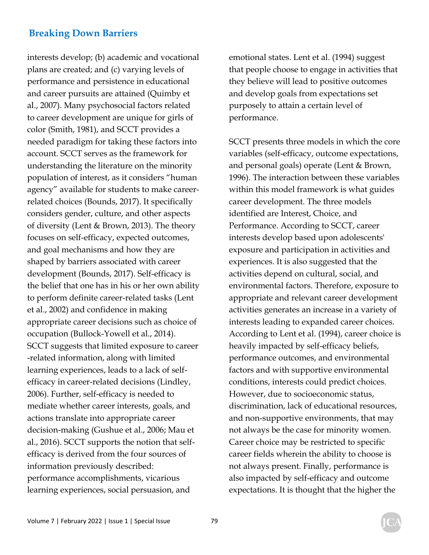interests develop; (b) academic and vocational plans are created; and (c) varying levels of performance and persistence in educational and career pursuits are attained (Quimby et al., 2007). Many psychosocial factors related to career development are unique for girls of color (Smith, 1981), and SCCT provides a needed paradigm for taking these factors into account. SCCT serves as the framework for understanding the literature on the minority population of interest, as it considers "human agency" available for students to make careerrelated choices (Bounds, 2017). It specifically considers gender, culture, and other aspects of diversity (Lent & Brown, 2013). The theory focuses on self-efficacy, expected outcomes, and goal mechanisms and how they are shaped by barriers associated with career development (Bounds, 2017). Self-efficacy is the belief that one has in his or her own ability to perform definite career-related tasks (Lent et al., 2002) and confidence in making appropriate career decisions such as choice of occupation (Bullock-Yowell et al., 2014). SCCT suggests that limited exposure to career -related information, along with limited learning experiences, leads to a lack of selfefficacy in career-related decisions (Lindley, 2006). Further, self-efficacy is needed to mediate whether career interests, goals, and actions translate into appropriate career decision-making (Gushue et al., 2006; Mau et al., 2016). SCCT supports the notion that selfefficacy is derived from the four sources of information previously described: performance accomplishments, vicarious learning experiences, social persuasion, and

emotional states. Lent et al. (1994) suggest that people choose to engage in activities that they believe will lead to positive outcomes and develop goals from expectations set purposely to attain a certain level of performance.

SCCT presents three models in which the core variables (self-efficacy, outcome expectations, and personal goals) operate (Lent & Brown, 1996). The interaction between these variables within this model framework is what guides career development. The three models identified are Interest, Choice, and Performance. According to SCCT, career interests develop based upon adolescents' exposure and participation in activities and experiences. It is also suggested that the activities depend on cultural, social, and environmental factors. Therefore, exposure to appropriate and relevant career development activities generates an increase in a variety of interests leading to expanded career choices. According to Lent et al. (1994), career choice is heavily impacted by self-efficacy beliefs, performance outcomes, and environmental factors and with supportive environmental conditions, interests could predict choices. However, due to socioeconomic status, discrimination, lack of educational resources, and non-supportive environments, that may not always be the case for minority women. Career choice may be restricted to specific career fields wherein the ability to choose is not always present. Finally, performance is also impacted by self-efficacy and outcome expectations. It is thought that the higher the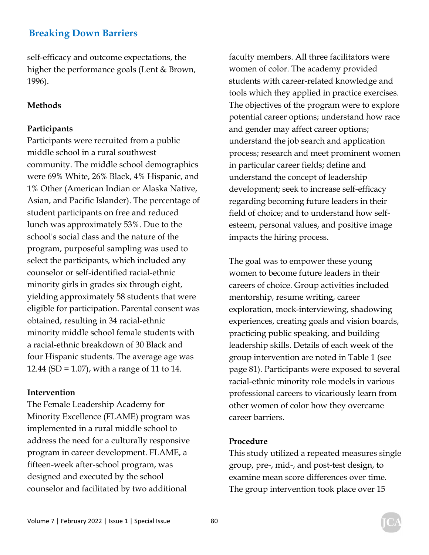self-efficacy and outcome expectations, the higher the performance goals (Lent & Brown, 1996).

### **Methods**

### **Participants**

Participants were recruited from a public middle school in a rural southwest community. The middle school demographics were 69% White, 26% Black, 4% Hispanic, and 1% Other (American Indian or Alaska Native, Asian, and Pacific Islander). The percentage of student participants on free and reduced lunch was approximately 53%. Due to the school's social class and the nature of the program, purposeful sampling was used to select the participants, which included any counselor or self-identified racial-ethnic minority girls in grades six through eight, yielding approximately 58 students that were eligible for participation. Parental consent was obtained, resulting in 34 racial-ethnic minority middle school female students with a racial-ethnic breakdown of 30 Black and four Hispanic students. The average age was 12.44 (SD = 1.07), with a range of 11 to 14.

### **Intervention**

The Female Leadership Academy for Minority Excellence (FLAME) program was implemented in a rural middle school to address the need for a culturally responsive program in career development. FLAME, a fifteen-week after-school program, was designed and executed by the school counselor and facilitated by two additional

faculty members. All three facilitators were women of color. The academy provided students with career-related knowledge and tools which they applied in practice exercises. The objectives of the program were to explore potential career options; understand how race and gender may affect career options; understand the job search and application process; research and meet prominent women in particular career fields; define and understand the concept of leadership development; seek to increase self-efficacy regarding becoming future leaders in their field of choice; and to understand how selfesteem, personal values, and positive image impacts the hiring process.

The goal was to empower these young women to become future leaders in their careers of choice. Group activities included mentorship, resume writing, career exploration, mock-interviewing, shadowing experiences, creating goals and vision boards, practicing public speaking, and building leadership skills. Details of each week of the group intervention are noted in Table 1 (see page 81). Participants were exposed to several racial-ethnic minority role models in various professional careers to vicariously learn from other women of color how they overcame career barriers.

### **Procedure**

This study utilized a repeated measures single group, pre-, mid-, and post-test design, to examine mean score differences over time. The group intervention took place over 15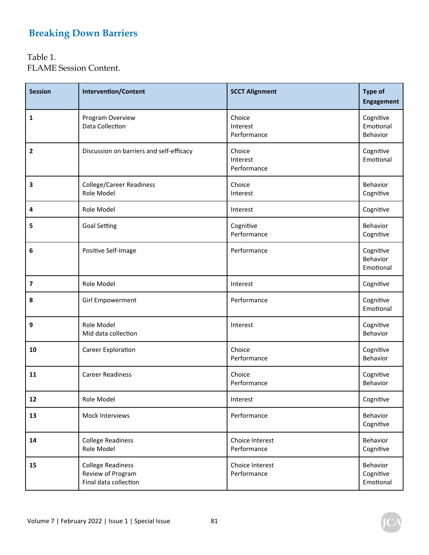Table 1. FLAME Session Content.

| <b>Session</b>   | <b>Intervention/Content</b>                                            | <b>SCCT Alignment</b>             | <b>Type of</b><br><b>Engagement</b> |
|------------------|------------------------------------------------------------------------|-----------------------------------|-------------------------------------|
| 1                | Program Overview<br>Data Collection                                    | Choice<br>Interest<br>Performance | Cognitive<br>Emotional<br>Behavior  |
| $\overline{2}$   | Discussion on barriers and self-efficacy                               | Choice<br>Interest<br>Performance | Cognitive<br>Emotional              |
| 3                | <b>College/Career Readiness</b><br>Role Model                          | Choice<br>Interest                | Behavior<br>Cognitive               |
| 4                | Role Model                                                             | Interest                          | Cognitive                           |
| 5                | <b>Goal Setting</b>                                                    | Cognitive<br>Performance          | Behavior<br>Cognitive               |
| 6                | Positive Self-Image                                                    | Performance                       | Cognitive<br>Behavior<br>Emotional  |
| $\boldsymbol{7}$ | Role Model                                                             | Interest                          | Cognitive                           |
| 8                | Girl Empowerment                                                       | Performance                       | Cognitive<br>Emotional              |
| 9                | Role Model<br>Mid data collection                                      | Interest                          | Cognitive<br>Behavior               |
| 10               | Career Exploration                                                     | Choice<br>Performance             | Cognitive<br>Behavior               |
| 11               | <b>Career Readiness</b>                                                | Choice<br>Performance             | Cognitive<br>Behavior               |
| 12               | Role Model                                                             | Interest                          | Cognitive                           |
| 13               | Mock Interviews                                                        | Performance                       | Behavior<br>Cognitive               |
| 14               | <b>College Readiness</b><br>Role Model                                 | Choice Interest<br>Performance    | Behavior<br>Cognitive               |
| 15               | <b>College Readiness</b><br>Review of Program<br>Final data collection | Choice Interest<br>Performance    | Behavior<br>Cognitive<br>Emotional  |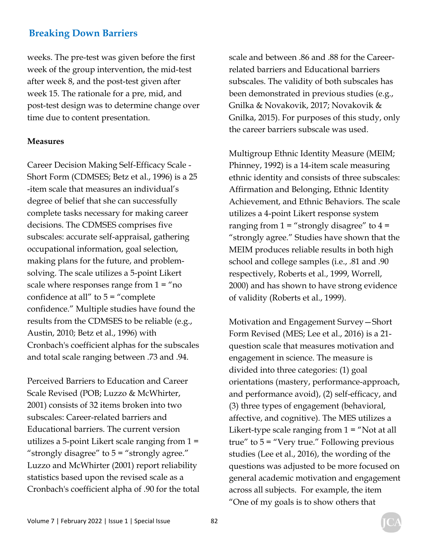weeks. The pre-test was given before the first week of the group intervention, the mid-test after week 8, and the post-test given after week 15. The rationale for a pre, mid, and post-test design was to determine change over time due to content presentation.

### **Measures**

Career Decision Making Self-Efficacy Scale - Short Form (CDMSES; Betz et al., 1996) is a 25 -item scale that measures an individual's degree of belief that she can successfully complete tasks necessary for making career decisions. The CDMSES comprises five subscales: accurate self-appraisal, gathering occupational information, goal selection, making plans for the future, and problemsolving. The scale utilizes a 5-point Likert scale where responses range from  $1 =$  "no confidence at all" to  $5 =$  "complete" confidence." Multiple studies have found the results from the CDMSES to be reliable (e.g., Austin, 2010; Betz et al., 1996) with Cronbach's coefficient alphas for the subscales and total scale ranging between .73 and .94.

Perceived Barriers to Education and Career Scale Revised (POB; Luzzo & McWhirter, 2001) consists of 32 items broken into two subscales: Career-related barriers and Educational barriers. The current version utilizes a 5-point Likert scale ranging from 1 = "strongly disagree" to 5 = "strongly agree." Luzzo and McWhirter (2001) report reliability statistics based upon the revised scale as a Cronbach's coefficient alpha of .90 for the total scale and between .86 and .88 for the Careerrelated barriers and Educational barriers subscales. The validity of both subscales has been demonstrated in previous studies (e.g., Gnilka & Novakovik, 2017; Novakovik & Gnilka, 2015). For purposes of this study, only the career barriers subscale was used.

Multigroup Ethnic Identity Measure (MEIM; Phinney, 1992) is a 14-item scale measuring ethnic identity and consists of three subscales: Affirmation and Belonging, Ethnic Identity Achievement, and Ethnic Behaviors. The scale utilizes a 4-point Likert response system ranging from  $1 =$  "strongly disagree" to  $4 =$ "strongly agree." Studies have shown that the MEIM produces reliable results in both high school and college samples (i.e., .81 and .90 respectively, Roberts et al., 1999, Worrell, 2000) and has shown to have strong evidence of validity (Roberts et al., 1999).

Motivation and Engagement Survey—Short Form Revised (MES; Lee et al., 2016) is a 21 question scale that measures motivation and engagement in science. The measure is divided into three categories: (1) goal orientations (mastery, performance-approach, and performance avoid), (2) self-efficacy, and (3) three types of engagement (behavioral, affective, and cognitive). The MES utilizes a Likert-type scale ranging from  $1 = "Not at all]$ true" to  $5 =$  "Very true." Following previous studies (Lee et al., 2016), the wording of the questions was adjusted to be more focused on general academic motivation and engagement across all subjects. For example, the item "One of my goals is to show others that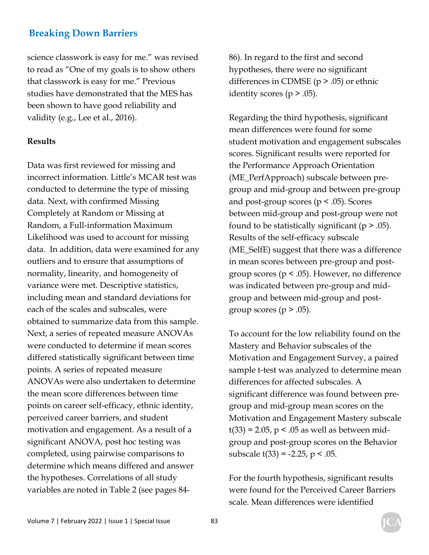science classwork is easy for me." was revised to read as "One of my goals is to show others that classwork is easy for me." Previous studies have demonstrated that the MES has been shown to have good reliability and validity (e.g., Lee et al., 2016).

### **Results**

Data was first reviewed for missing and incorrect information. Little's MCAR test was conducted to determine the type of missing data. Next, with confirmed Missing Completely at Random or Missing at Random, a Full-information Maximum Likelihood was used to account for missing data. In addition, data were examined for any outliers and to ensure that assumptions of normality, linearity, and homogeneity of variance were met. Descriptive statistics, including mean and standard deviations for each of the scales and subscales, were obtained to summarize data from this sample. Next, a series of repeated measure ANOVAs were conducted to determine if mean scores differed statistically significant between time points. A series of repeated measure ANOVAs were also undertaken to determine the mean score differences between time points on career self-efficacy, ethnic identity, perceived career barriers, and student motivation and engagement. As a result of a significant ANOVA, post hoc testing was completed, using pairwise comparisons to determine which means differed and answer the hypotheses. Correlations of all study variables are noted in Table 2 (see pages 8486). In regard to the first and second hypotheses, there were no significant differences in CDMSE ( $p > .05$ ) or ethnic identity scores ( $p > .05$ ).

Regarding the third hypothesis, significant mean differences were found for some student motivation and engagement subscales scores. Significant results were reported for the Performance Approach Orientation (ME\_PerfApproach) subscale between pregroup and mid-group and between pre-group and post-group scores ( $p < .05$ ). Scores between mid-group and post-group were not found to be statistically significant ( $p > .05$ ). Results of the self-efficacy subscale (ME\_SelfE) suggest that there was a difference in mean scores between pre-group and postgroup scores ( $p < .05$ ). However, no difference was indicated between pre-group and midgroup and between mid-group and postgroup scores ( $p > .05$ ).

To account for the low reliability found on the Mastery and Behavior subscales of the Motivation and Engagement Survey, a paired sample t-test was analyzed to determine mean differences for affected subscales. A significant difference was found between pregroup and mid-group mean scores on the Motivation and Engagement Mastery subscale  $t(33) = 2.05$ , p < .05 as well as between midgroup and post-group scores on the Behavior subscale  $t(33) = -2.25$ ,  $p < .05$ .

For the fourth hypothesis, significant results were found for the Perceived Career Barriers scale. Mean differences were identified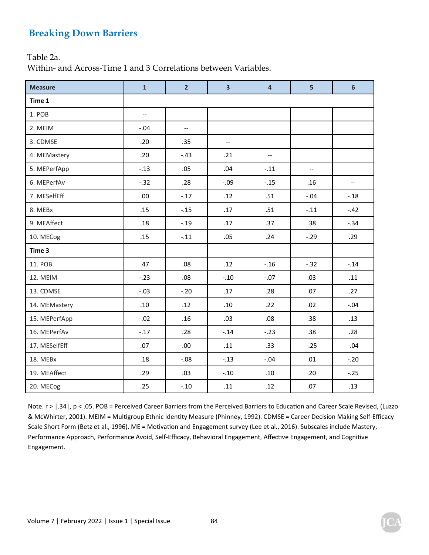Table 2a.

Within- and Across-Time 1 and 3 Correlations between Variables.

| <b>Measure</b> | $\mathbf{1}$             | $\overline{2}$           | $\overline{\mathbf{3}}$  | $\overline{4}$           | 5      | 6                        |  |
|----------------|--------------------------|--------------------------|--------------------------|--------------------------|--------|--------------------------|--|
| Time 1         |                          |                          |                          |                          |        |                          |  |
| 1. POB         | $\overline{\phantom{a}}$ |                          |                          |                          |        |                          |  |
| 2. MEIM        | $-.04$                   | $\overline{\phantom{a}}$ |                          |                          |        |                          |  |
| 3. CDMSE       | .20                      | .35                      | $\overline{\phantom{a}}$ |                          |        |                          |  |
| 4. MEMastery   | .20                      | $-.43$                   | .21                      | $\overline{\phantom{a}}$ |        |                          |  |
| 5. MEPerfApp   | $-.13$<br>.05            |                          | .04                      | $-.11$                   | $-$    |                          |  |
| 6. MEPerfAv    | $-0.32$                  | .28                      | $-0.09$                  | $-.15$                   |        | $\overline{\phantom{m}}$ |  |
| 7. MESelfEff   | .00.                     | $-.17$                   | .12                      | .51                      | $-.04$ | $-.18$                   |  |
| 8. MEBx        | .15                      | $-.15$                   | .17                      | .51                      | $-.11$ | $-42$                    |  |
| 9. MEAffect    | .18                      | $-.19$                   | .17                      | .37                      | .38    | $-.34$                   |  |
| 10. MECog      | .15                      | $-.11$<br>.05<br>.24     |                          |                          | $-.29$ | .29                      |  |
| Time 3         |                          |                          |                          |                          |        |                          |  |
| 11. POB        | .47                      | .08                      | .12                      | $-.16$                   | $-.32$ | $-.14$                   |  |
| 12. MEIM       | $-.23$                   | .08                      | $-.10$                   | $-.07$                   | .03    | .11                      |  |
| 13. CDMSE      | $-.03$                   | $-.20$                   | .17                      | .28                      | .07    | .27                      |  |
| 14. MEMastery  | .10                      | .12                      | .10                      | .22                      | .02    | $-0.04$                  |  |
| 15. MEPerfApp  | $-.02$                   | .16                      | .03                      | .08                      | .38    | .13                      |  |
| 16. MEPerfAv   | $-.17$                   | .28                      | $-.14$                   | $-23$                    | .38    | .28                      |  |
| 17. MESelfEff  | .07                      | .00.                     | .11                      | .33                      | $-.25$ | $-.04$                   |  |
| 18. MEBx       | .18                      | $-0.08$                  | $-.13$                   | $-.04$                   | .01    | $-20$                    |  |
| 19. MEAffect   | .29                      | .03                      | $-.10$                   | .10                      | .20    | $-.25$                   |  |
| 20. MECog      | .25                      | $-.10$                   | .11                      | .12                      | .07    | .13                      |  |

Note. r > |.34 |, p < .05. POB = Perceived Career Barriers from the Perceived Barriers to Education and Career Scale Revised, (Luzzo & McWhirter, 2001). MEIM = Multigroup Ethnic Identity Measure (Phinney, 1992). CDMSE = Career Decision Making Self-Efficacy Scale Short Form (Betz et al., 1996). ME = Motivation and Engagement survey (Lee et al., 2016). Subscales include Mastery, Performance Approach, Performance Avoid, Self-Efficacy, Behavioral Engagement, Affective Engagement, and Cognitive Engagement.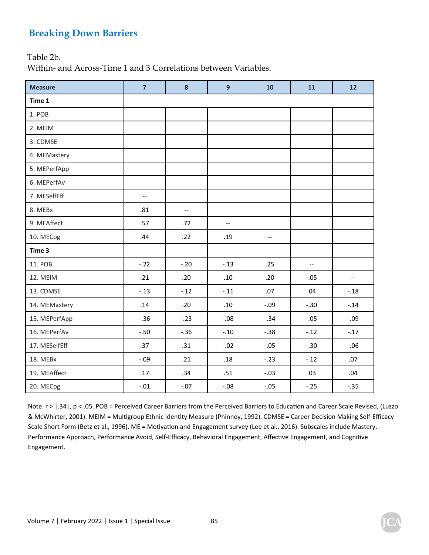Table 2b.

Within- and Across-Time 1 and 3 Correlations between Variables.

| <b>Measure</b> | $\overline{7}$ | 8                        | $\overline{9}$           | 10      | 11           | 12      |
|----------------|----------------|--------------------------|--------------------------|---------|--------------|---------|
| Time 1         |                |                          |                          |         |              |         |
| 1. POB         |                |                          |                          |         |              |         |
| 2. MEIM        |                |                          |                          |         |              |         |
| 3. CDMSE       |                |                          |                          |         |              |         |
| 4. MEMastery   |                |                          |                          |         |              |         |
| 5. MEPerfApp   |                |                          |                          |         |              |         |
| 6. MEPerfAv    |                |                          |                          |         |              |         |
| 7. MESelfEff   | $-\,-$         |                          |                          |         |              |         |
| 8. MEBx        | .81            | $\overline{\phantom{a}}$ |                          |         |              |         |
| 9. MEAffect    | .57            | .72                      | $\overline{\phantom{a}}$ |         |              |         |
| 10. MECog      | .44            | .22                      | .19                      | --      |              |         |
| Time 3         |                |                          |                          |         |              |         |
| 11. POB        | $-22$          | $-0.20$                  | $-.13$                   | .25     | $-\hbox{--}$ |         |
| 12. MEIM       | .21            | .20                      | .10                      | .20     | $-.05$       | $-\, -$ |
| 13. CDMSE      | $-.13$         | $-.12$                   | $-.11$                   | .07     | .04          | $-18$   |
| 14. MEMastery  | .14            | .20                      | .10                      | $-0.09$ | $-.30$       | $-0.14$ |
| 15. MEPerfApp  | $-.36$         | $-.23$                   | $-.08$                   | $-.34$  | $-.05$       | $-.09$  |
| 16. MEPerfAv   | $-.50$         | $-.36$                   | $-.10$                   | $-.38$  | $-.12$       | $-17$   |
| 17. MESelfEff  | .37            | .31                      | $-.02$                   | $-.05$  | $-.30$       | $-0.06$ |
| 18. MEBx       | $-.09$         | .21                      | .18                      | $-.23$  | $-.12$       | .07     |
| 19. MEAffect   | .17            | .34                      | .51                      | $-.03$  | .03          | .04     |
| 20. MECog      | $-.01$         | $-.07$                   | $-.08$                   | $-.05$  | $-.25$       | $-.35$  |

Note. r > |.34 |, p < .05. POB = Perceived Career Barriers from the Perceived Barriers to Education and Career Scale Revised, (Luzzo & McWhirter, 2001). MEIM = Multigroup Ethnic Identity Measure (Phinney, 1992). CDMSE = Career Decision Making Self-Efficacy Scale Short Form (Betz et al., 1996). ME = Motivation and Engagement survey (Lee et al., 2016). Subscales include Mastery, Performance Approach, Performance Avoid, Self-Efficacy, Behavioral Engagement, Affective Engagement, and Cognitive Engagement.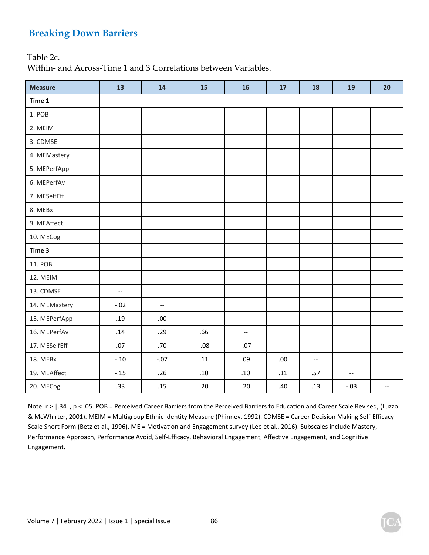Table 2c.

Within- and Across-Time 1 and 3 Correlations between Variables.

| <b>Measure</b> | 13                       | 14           | 15                       | 16                       | 17                       | 18                                                  | 19                                                  | 20                       |
|----------------|--------------------------|--------------|--------------------------|--------------------------|--------------------------|-----------------------------------------------------|-----------------------------------------------------|--------------------------|
| Time 1         |                          |              |                          |                          |                          |                                                     |                                                     |                          |
| 1. POB         |                          |              |                          |                          |                          |                                                     |                                                     |                          |
| 2. MEIM        |                          |              |                          |                          |                          |                                                     |                                                     |                          |
| 3. CDMSE       |                          |              |                          |                          |                          |                                                     |                                                     |                          |
| 4. MEMastery   |                          |              |                          |                          |                          |                                                     |                                                     |                          |
| 5. MEPerfApp   |                          |              |                          |                          |                          |                                                     |                                                     |                          |
| 6. MEPerfAv    |                          |              |                          |                          |                          |                                                     |                                                     |                          |
| 7. MESelfEff   |                          |              |                          |                          |                          |                                                     |                                                     |                          |
| 8. MEBx        |                          |              |                          |                          |                          |                                                     |                                                     |                          |
| 9. MEAffect    |                          |              |                          |                          |                          |                                                     |                                                     |                          |
| 10. MECog      |                          |              |                          |                          |                          |                                                     |                                                     |                          |
| Time 3         |                          |              |                          |                          |                          |                                                     |                                                     |                          |
| 11. POB        |                          |              |                          |                          |                          |                                                     |                                                     |                          |
| 12. MEIM       |                          |              |                          |                          |                          |                                                     |                                                     |                          |
| 13. CDMSE      | $\overline{\phantom{a}}$ |              |                          |                          |                          |                                                     |                                                     |                          |
| 14. MEMastery  | $-.02$                   | $-\hbox{--}$ |                          |                          |                          |                                                     |                                                     |                          |
| 15. MEPerfApp  | .19                      | .00.         | $\overline{\phantom{a}}$ |                          |                          |                                                     |                                                     |                          |
| 16. MEPerfAv   | .14                      | .29          | .66                      | $\hspace{0.05cm} \ldots$ |                          |                                                     |                                                     |                          |
| 17. MESelfEff  | .07                      | .70          | $-0.08$                  | $-.07$                   | $\overline{\phantom{a}}$ |                                                     |                                                     |                          |
| 18. MEBx       | $-.10$                   | $-.07$       | .11                      | .09                      | .00.                     | $\hspace{0.05cm} -\hspace{0.05cm} -\hspace{0.05cm}$ |                                                     |                          |
| 19. MEAffect   | $-.15$                   | .26          | $.10\,$                  | .10                      | .11                      | .57                                                 | $\hspace{0.05cm} -\hspace{0.05cm} -\hspace{0.05cm}$ |                          |
| 20. MECog      | .33                      | .15          | .20                      | .20                      | .40                      | .13                                                 | $-.03$                                              | $\hspace{0.05cm} \ldots$ |

Note. r > |.34 |, p < .05. POB = Perceived Career Barriers from the Perceived Barriers to Education and Career Scale Revised, (Luzzo & McWhirter, 2001). MEIM = Multigroup Ethnic Identity Measure (Phinney, 1992). CDMSE = Career Decision Making Self-Efficacy Scale Short Form (Betz et al., 1996). ME = Motivation and Engagement survey (Lee et al., 2016). Subscales include Mastery, Performance Approach, Performance Avoid, Self-Efficacy, Behavioral Engagement, Affective Engagement, and Cognitive Engagement.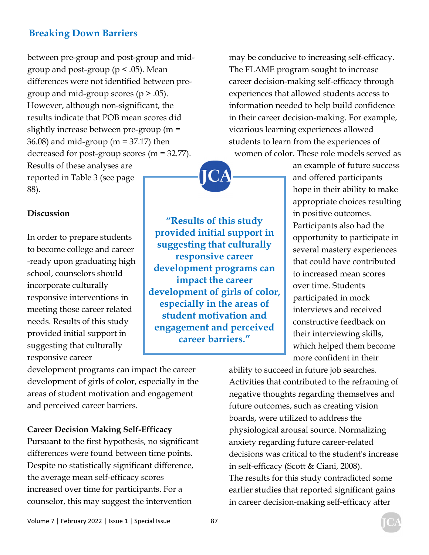between pre-group and post-group and midgroup and post-group ( $p < .05$ ). Mean differences were not identified between pregroup and mid-group scores  $(p > .05)$ . However, although non-significant, the results indicate that POB mean scores did slightly increase between pre-group (m = 36.08) and mid-group (m = 37.17) then decreased for post-group scores (m = 32.77). Results of these analyses are reported in Table 3 (see page 88).

may be conducive to increasing self-efficacy. The FLAME program sought to increase career decision-making self-efficacy through experiences that allowed students access to information needed to help build confidence in their career decision-making. For example, vicarious learning experiences allowed students to learn from the experiences of women of color. These role models served as



### **Discussion**

In order to prepare students to become college and career -ready upon graduating high school, counselors should incorporate culturally responsive interventions in meeting those career related needs. Results of this study provided initial support in suggesting that culturally responsive career

**"Results of this study provided initial support in suggesting that culturally responsive career development programs can impact the career development of girls of color, especially in the areas of student motivation and engagement and perceived career barriers."** 

an example of future success and offered participants hope in their ability to make appropriate choices resulting in positive outcomes. Participants also had the opportunity to participate in several mastery experiences that could have contributed to increased mean scores over time. Students participated in mock interviews and received constructive feedback on their interviewing skills, which helped them become more confident in their

development programs can impact the career development of girls of color, especially in the areas of student motivation and engagement and perceived career barriers.

### **Career Decision Making Self-Efficacy**

Pursuant to the first hypothesis, no significant differences were found between time points. Despite no statistically significant difference, the average mean self-efficacy scores increased over time for participants. For a counselor, this may suggest the intervention

ability to succeed in future job searches. Activities that contributed to the reframing of negative thoughts regarding themselves and future outcomes, such as creating vision boards, were utilized to address the physiological arousal source. Normalizing anxiety regarding future career-related decisions was critical to the student's increase in self-efficacy (Scott & Ciani, 2008). The results for this study contradicted some earlier studies that reported significant gains in career decision-making self-efficacy after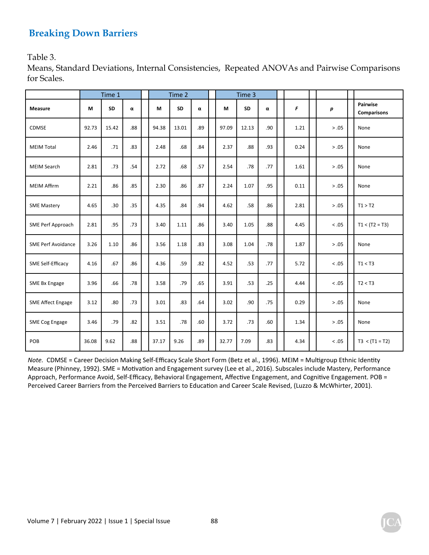Table 3.

Means, Standard Deviations, Internal Consistencies, Repeated ANOVAs and Pairwise Comparisons for Scales.

|                           |       | Time 1    |     |       | Time 2    |          |       | Time 3 |     |      |         |                                |
|---------------------------|-------|-----------|-----|-------|-----------|----------|-------|--------|-----|------|---------|--------------------------------|
| <b>Measure</b>            | M     | <b>SD</b> | α   | M     | <b>SD</b> | $\alpha$ | М     | SD     | α   | F    | р       | Pairwise<br><b>Comparisons</b> |
| CDMSE                     | 92.73 | 15.42     | .88 | 94.38 | 13.01     | .89      | 97.09 | 12.13  | .90 | 1.21 | > .05   | None                           |
| <b>MEIM Total</b>         | 2.46  | .71       | .83 | 2.48  | .68       | .84      | 2.37  | .88    | .93 | 0.24 | > .05   | None                           |
| <b>MEIM Search</b>        | 2.81  | .73       | .54 | 2.72  | .68       | .57      | 2.54  | .78    | .77 | 1.61 | > .05   | None                           |
| <b>MEIM Affirm</b>        | 2.21  | .86       | .85 | 2.30  | .86       | .87      | 2.24  | 1.07   | .95 | 0.11 | > .05   | None                           |
| <b>SME Mastery</b>        | 4.65  | .30       | .35 | 4.35  | .84       | .94      | 4.62  | .58    | .86 | 2.81 | > .05   | T1 > T2                        |
| SME Perf Approach         | 2.81  | .95       | .73 | 3.40  | 1.11      | .86      | 3.40  | 1.05   | .88 | 4.45 | < .05   | $T1 < (T2 = T3)$               |
| <b>SME Perf Avoidance</b> | 3.26  | 1.10      | .86 | 3.56  | 1.18      | .83      | 3.08  | 1.04   | .78 | 1.87 | > .05   | None                           |
| SME Self-Efficacy         | 4.16  | .67       | .86 | 4.36  | .59       | .82      | 4.52  | .53    | .77 | 5.72 | $< .05$ | T1 < T3                        |
| SME Bx Engage             | 3.96  | .66       | .78 | 3.58  | .79       | .65      | 3.91  | .53    | .25 | 4.44 | $< .05$ | T2 < T3                        |
| <b>SME Affect Engage</b>  | 3.12  | .80       | .73 | 3.01  | .83       | .64      | 3.02  | .90    | .75 | 0.29 | > .05   | None                           |
| SME Cog Engage            | 3.46  | .79       | .82 | 3.51  | .78       | .60      | 3.72  | .73    | .60 | 1.34 | > .05   | None                           |
| POB                       | 36.08 | 9.62      | .88 | 37.17 | 9.26      | .89      | 32.77 | 7.09   | .83 | 4.34 | < 0.05  | $T3 < (T1 = T2)$               |

*Note.* CDMSE = Career Decision Making Self-Efficacy Scale Short Form (Betz et al., 1996). MEIM = Multigroup Ethnic Identity Measure (Phinney, 1992). SME = Motivation and Engagement survey (Lee et al., 2016). Subscales include Mastery, Performance Approach, Performance Avoid, Self-Efficacy, Behavioral Engagement, Affective Engagement, and Cognitive Engagement. POB = Perceived Career Barriers from the Perceived Barriers to Education and Career Scale Revised, (Luzzo & McWhirter, 2001).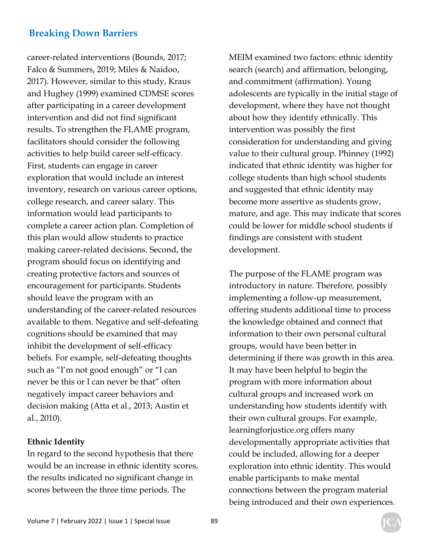career-related interventions (Bounds, 2017; Falco & Summers, 2019; Miles & Naidoo, 2017). However, similar to this study, Kraus and Hughey (1999) examined CDMSE scores after participating in a career development intervention and did not find significant results. To strengthen the FLAME program, facilitators should consider the following activities to help build career self-efficacy. First, students can engage in career exploration that would include an interest inventory, research on various career options, college research, and career salary. This information would lead participants to complete a career action plan. Completion of this plan would allow students to practice making career-related decisions. Second, the program should focus on identifying and creating protective factors and sources of encouragement for participants. Students should leave the program with an understanding of the career-related resources available to them. Negative and self-defeating cognitions should be examined that may inhibit the development of self-efficacy beliefs. For example, self-defeating thoughts such as "I'm not good enough" or "I can never be this or I can never be that" often negatively impact career behaviors and decision making (Atta et al., 2013; Austin et al., 2010).

### **Ethnic Identity**

In regard to the second hypothesis that there would be an increase in ethnic identity scores, the results indicated no significant change in scores between the three time periods. The

MEIM examined two factors: ethnic identity search (search) and affirmation, belonging, and commitment (affirmation). Young adolescents are typically in the initial stage of development, where they have not thought about how they identify ethnically. This intervention was possibly the first consideration for understanding and giving value to their cultural group. Phinney (1992) indicated that ethnic identity was higher for college students than high school students and suggested that ethnic identity may become more assertive as students grow, mature, and age. This may indicate that scores could be lower for middle school students if findings are consistent with student development.

The purpose of the FLAME program was introductory in nature. Therefore, possibly implementing a follow-up measurement, offering students additional time to process the knowledge obtained and connect that information to their own personal cultural groups, would have been better in determining if there was growth in this area. It may have been helpful to begin the program with more information about cultural groups and increased work on understanding how students identify with their own cultural groups. For example, learningforjustice.org offers many developmentally appropriate activities that could be included, allowing for a deeper exploration into ethnic identity. This would enable participants to make mental connections between the program material being introduced and their own experiences.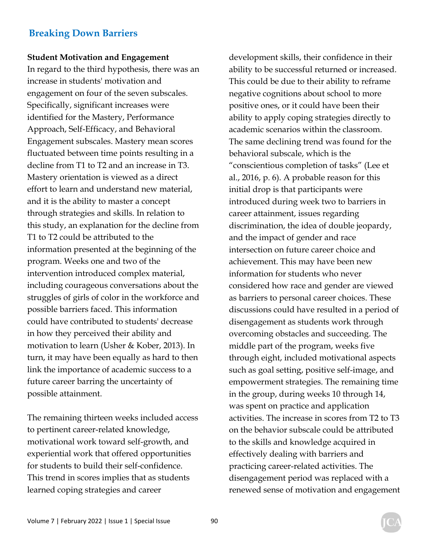#### **Student Motivation and Engagement**

In regard to the third hypothesis, there was an increase in students' motivation and engagement on four of the seven subscales. Specifically, significant increases were identified for the Mastery, Performance Approach, Self-Efficacy, and Behavioral Engagement subscales. Mastery mean scores fluctuated between time points resulting in a decline from T1 to T2 and an increase in T3. Mastery orientation is viewed as a direct effort to learn and understand new material, and it is the ability to master a concept through strategies and skills. In relation to this study, an explanation for the decline from T1 to T2 could be attributed to the information presented at the beginning of the program. Weeks one and two of the intervention introduced complex material, including courageous conversations about the struggles of girls of color in the workforce and possible barriers faced. This information could have contributed to students' decrease in how they perceived their ability and motivation to learn (Usher & Kober, 2013). In turn, it may have been equally as hard to then link the importance of academic success to a future career barring the uncertainty of possible attainment.

The remaining thirteen weeks included access to pertinent career-related knowledge, motivational work toward self-growth, and experiential work that offered opportunities for students to build their self-confidence. This trend in scores implies that as students learned coping strategies and career

development skills, their confidence in their ability to be successful returned or increased. This could be due to their ability to reframe negative cognitions about school to more positive ones, or it could have been their ability to apply coping strategies directly to academic scenarios within the classroom. The same declining trend was found for the behavioral subscale, which is the "conscientious completion of tasks" (Lee et al., 2016, p. 6). A probable reason for this initial drop is that participants were introduced during week two to barriers in career attainment, issues regarding discrimination, the idea of double jeopardy, and the impact of gender and race intersection on future career choice and achievement. This may have been new information for students who never considered how race and gender are viewed as barriers to personal career choices. These discussions could have resulted in a period of disengagement as students work through overcoming obstacles and succeeding. The middle part of the program, weeks five through eight, included motivational aspects such as goal setting, positive self-image, and empowerment strategies. The remaining time in the group, during weeks 10 through 14, was spent on practice and application activities. The increase in scores from T2 to T3 on the behavior subscale could be attributed to the skills and knowledge acquired in effectively dealing with barriers and practicing career-related activities. The disengagement period was replaced with a renewed sense of motivation and engagement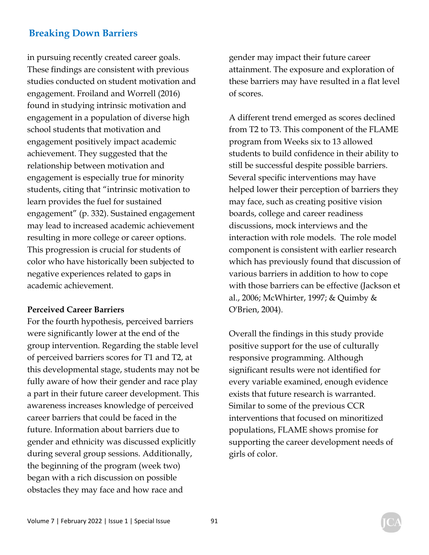in pursuing recently created career goals. These findings are consistent with previous studies conducted on student motivation and engagement. Froiland and Worrell (2016) found in studying intrinsic motivation and engagement in a population of diverse high school students that motivation and engagement positively impact academic achievement. They suggested that the relationship between motivation and engagement is especially true for minority students, citing that "intrinsic motivation to learn provides the fuel for sustained engagement" (p. 332). Sustained engagement may lead to increased academic achievement resulting in more college or career options. This progression is crucial for students of color who have historically been subjected to negative experiences related to gaps in academic achievement.

### **Perceived Career Barriers**

For the fourth hypothesis, perceived barriers were significantly lower at the end of the group intervention. Regarding the stable level of perceived barriers scores for T1 and T2, at this developmental stage, students may not be fully aware of how their gender and race play a part in their future career development. This awareness increases knowledge of perceived career barriers that could be faced in the future. Information about barriers due to gender and ethnicity was discussed explicitly during several group sessions. Additionally, the beginning of the program (week two) began with a rich discussion on possible obstacles they may face and how race and

gender may impact their future career attainment. The exposure and exploration of these barriers may have resulted in a flat level of scores.

A different trend emerged as scores declined from T2 to T3. This component of the FLAME program from Weeks six to 13 allowed students to build confidence in their ability to still be successful despite possible barriers. Several specific interventions may have helped lower their perception of barriers they may face, such as creating positive vision boards, college and career readiness discussions, mock interviews and the interaction with role models. The role model component is consistent with earlier research which has previously found that discussion of various barriers in addition to how to cope with those barriers can be effective (Jackson et al., 2006; McWhirter, 1997; & Quimby & O'Brien, 2004).

Overall the findings in this study provide positive support for the use of culturally responsive programming. Although significant results were not identified for every variable examined, enough evidence exists that future research is warranted. Similar to some of the previous CCR interventions that focused on minoritized populations, FLAME shows promise for supporting the career development needs of girls of color.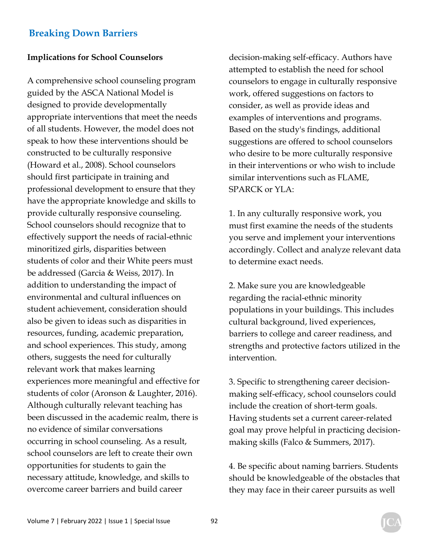### **Implications for School Counselors**

A comprehensive school counseling program guided by the ASCA National Model is designed to provide developmentally appropriate interventions that meet the needs of all students. However, the model does not speak to how these interventions should be constructed to be culturally responsive (Howard et al., 2008). School counselors should first participate in training and professional development to ensure that they have the appropriate knowledge and skills to provide culturally responsive counseling. School counselors should recognize that to effectively support the needs of racial-ethnic minoritized girls, disparities between students of color and their White peers must be addressed (Garcia & Weiss, 2017). In addition to understanding the impact of environmental and cultural influences on student achievement, consideration should also be given to ideas such as disparities in resources, funding, academic preparation, and school experiences. This study, among others, suggests the need for culturally relevant work that makes learning experiences more meaningful and effective for students of color (Aronson & Laughter, 2016). Although culturally relevant teaching has been discussed in the academic realm, there is no evidence of similar conversations occurring in school counseling. As a result, school counselors are left to create their own opportunities for students to gain the necessary attitude, knowledge, and skills to overcome career barriers and build career

decision-making self-efficacy. Authors have attempted to establish the need for school counselors to engage in culturally responsive work, offered suggestions on factors to consider, as well as provide ideas and examples of interventions and programs. Based on the study's findings, additional suggestions are offered to school counselors who desire to be more culturally responsive in their interventions or who wish to include similar interventions such as FLAME, SPARCK or YLA:

1. In any culturally responsive work, you must first examine the needs of the students you serve and implement your interventions accordingly. Collect and analyze relevant data to determine exact needs.

2. Make sure you are knowledgeable regarding the racial-ethnic minority populations in your buildings. This includes cultural background, lived experiences, barriers to college and career readiness, and strengths and protective factors utilized in the intervention.

3. Specific to strengthening career decisionmaking self-efficacy, school counselors could include the creation of short-term goals. Having students set a current career-related goal may prove helpful in practicing decisionmaking skills (Falco & Summers, 2017).

4. Be specific about naming barriers. Students should be knowledgeable of the obstacles that they may face in their career pursuits as well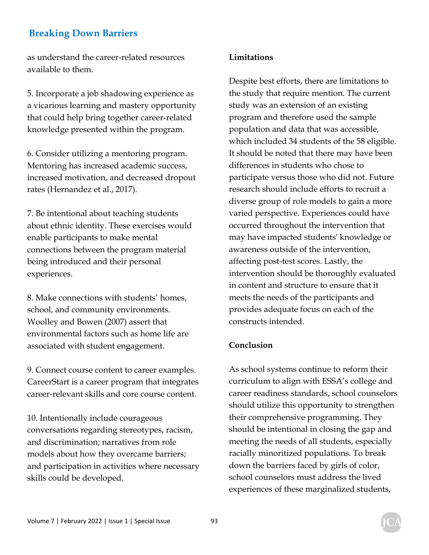as understand the career-related resources available to them.

5. Incorporate a job shadowing experience as a vicarious learning and mastery opportunity that could help bring together career-related knowledge presented within the program.

6. Consider utilizing a mentoring program. Mentoring has increased academic success, increased motivation, and decreased dropout rates (Hernandez et al., 2017).

7. Be intentional about teaching students about ethnic identity. These exercises would enable participants to make mental connections between the program material being introduced and their personal experiences.

8. Make connections with students' homes, school, and community environments. Woolley and Bowen (2007) assert that environmental factors such as home life are associated with student engagement.

9. Connect course content to career examples. CareerStart is a career program that integrates career-relevant skills and core course content.

10. Intentionally include courageous conversations regarding stereotypes, racism, and discrimination; narratives from role models about how they overcame barriers; and participation in activities where necessary skills could be developed.

### **Limitations**

Despite best efforts, there are limitations to the study that require mention. The current study was an extension of an existing program and therefore used the sample population and data that was accessible, which included 34 students of the 58 eligible. It should be noted that there may have been differences in students who chose to participate versus those who did not. Future research should include efforts to recruit a diverse group of role models to gain a more varied perspective. Experiences could have occurred throughout the intervention that may have impacted students' knowledge or awareness outside of the intervention, affecting post-test scores. Lastly, the intervention should be thoroughly evaluated in content and structure to ensure that it meets the needs of the participants and provides adequate focus on each of the constructs intended.

### **Conclusion**

As school systems continue to reform their curriculum to align with ESSA's college and career readiness standards, school counselors should utilize this opportunity to strengthen their comprehensive programming. They should be intentional in closing the gap and meeting the needs of all students, especially racially minoritized populations. To break down the barriers faced by girls of color, school counselors must address the lived experiences of these marginalized students,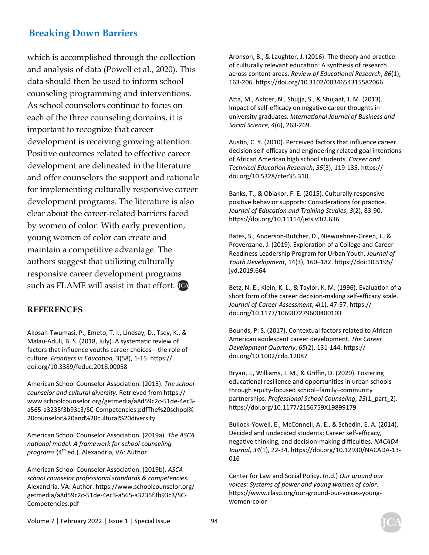which is accomplished through the collection and analysis of data (Powell et al., 2020). This data should then be used to inform school counseling programming and interventions. As school counselors continue to focus on each of the three counseling domains, it is important to recognize that career development is receiving growing attention. Positive outcomes related to effective career development are delineated in the literature and offer counselors the support and rationale for implementing culturally responsive career development programs. The literature is also clear about the career-related barriers faced by women of color. With early prevention, young women of color can create and maintain a competitive advantage. The authors suggest that utilizing culturally responsive career development programs such as FLAME will assist in that effort. **ICA** 

### **REFERENCES**

Akosah-Twumasi, P., Emeto, T. I., Lindsay, D., Tsey, K., & Malau-Aduli, B. S. (2018, July). A systematic review of factors that influence youths career choices—the role of culture. *FronƟers in EducaƟon,* 3(58), 1-15. hƩps:// doi.org/10.3389/feduc.2018.00058

American School Counselor Association. (2015). The school counselor and cultural diversity. Retrieved from https:// www.schoolcounselor.org/getmedia/a8d59c2c-51de-4ec3 a565-a3235f3b93c3/SC-Competencies.pdfThe%20school% 20counselor%20and%20cultural%20diversity

American School Counselor Association. (2019a). The ASCA *naƟonal model: A framework for school counseling*  programs (4<sup>th</sup> ed.). Alexandria, VA: Author

American School Counselor Association. (2019b). *ASCA school counselor professional standards & competencies.*  Alexandria, VA: Author. https://www.schoolcounselor.org/ getmedia/a8d59c2c-51de-4ec3-a565-a3235f3b93c3/SC-Competencies.pdf

Aronson, B., & Laughter, J. (2016). The theory and practice of culturally relevant education: A synthesis of research across content areas. *Review of EducaƟonal Research*, *86*(1), 163-206. hƩps://doi.org/10.3102/0034654315582066

Atta, M., Akhter, N., Shujja, S., & Shujaat, J. M. (2013). Impact of self-efficacy on negative career thoughts in university graduates. *InternaƟonal Journal of Business and Social Science*, *4*(6), 263-269.

Austin, C. Y. (2010). Perceived factors that influence career decision self-efficacy and engineering related goal intentions of African American high school students. *Career and Technical EducaƟon Research*, *35*(3), 119-135. hƩps:// doi.org/10.5328/cter35.310

Banks, T., & Obiakor, F. E. (2015). Culturally responsive positive behavior supports: Considerations for practice. *Journal of EducaƟon and Training Studies*, *3*(2), 83-90. https://doi.org/10.11114/jets.v3i2.636

Bates, S., Anderson-Butcher, D., Niewoehner-Green, J., & Provenzano, J. (2019). Exploration of a College and Career Readiness Leadership Program for Urban Youth. *Journal of Youth Development*, 14(3), 160–182. hƩps://doi:10.5195/ jyd.2019.664

Betz, N. E., Klein, K. L., & Taylor, K. M. (1996). Evaluation of a short form of the career decision-making self-efficacy scale. *Journal of Career Assessment*, *4*(1), 47-57. hƩps:// doi.org/10.1177/106907279600400103

Bounds, P. S. (2017). Contextual factors related to African American adolescent career development. *The Career Development Quarterly*, *65*(2), 131-144. hƩps:// doi.org/10.1002/cdq.12087

Bryan, J., Williams, J. M., & Griffin, D. (2020). Fostering educational resilience and opportunities in urban schools through equity-focused school–family–community partnerships. *Professional School Counseling*, *23*(1\_part\_2). https://doi.org/10.1177/2156759X19899179

Bullock-Yowell, E., McConnell, A. E., & Schedin, E. A. (2014). Decided and undecided students: Career self-efficacy, negative thinking, and decision-making difficulties. *NACADA Journal*, *34*(1), 22-34. hƩps://doi.org/10.12930/NACADA-13- 016

Center for Law and Social Policy. (n.d.) *Our ground our voices: Systems of power and young women of color*. https://www.clasp.org/our-ground-our-voices-youngwomen-color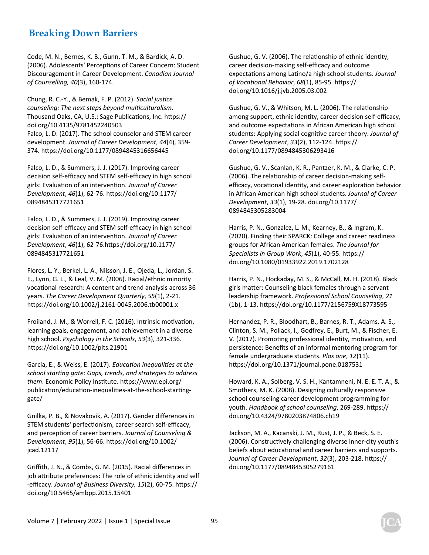Code, M. N., Bernes, K. B., Gunn, T. M., & Bardick, A. D. (2006). Adolescents' Perceptions of Career Concern: Student Discouragement in Career Development. *Canadian Journal of Counselling, 40*(3), 160-174.

Chung, R. C.-Y., & Bemak, F. P. (2012). *Social jusƟce counseling: The next steps beyond mulƟculturalism*. Thousand Oaks, CA, U.S.: Sage Publications, Inc. https:// doi.org/10.4135/9781452240503 Falco, L. D. (2017). The school counselor and STEM career development. *Journal of Career Development*, *44*(4), 359- 374. hƩps://doi.org/10.1177/0894845316656445

Falco, L. D., & Summers, J. J. (2017). Improving career decision self-efficacy and STEM self-efficacy in high school girls: Evaluation of an intervention. Journal of Career *Development*, *46*(1), 62-76. hƩps://doi.org/10.1177/ 0894845317721651

Falco, L. D., & Summers, J. J. (2019). Improving career decision self-efficacy and STEM self-efficacy in high school girls: EvaluaƟon of an intervenƟon. *Journal of Career Development*, *46*(1), 62-76.hƩps://doi.org/10.1177/ 0894845317721651

Flores, L. Y., Berkel, L. A., Nilsson, J. E., Ojeda, L., Jordan, S. E., Lynn, G. L., & Leal, V. M. (2006). Racial/ethnic minority vocational research: A content and trend analysis across 36 years. *The Career Development Quarterly*, *55*(1), 2-21. https://doi.org/10.1002/j.2161-0045.2006.tb00001.x

Froiland, J. M., & Worrell, F. C. (2016). Intrinsic motivation, learning goals, engagement, and achievement in a diverse high school. *Psychology in the Schools*, *53*(3), 321-336. https://doi.org/10.1002/pits.21901

Garcia, E., & Weiss, E. (2017). *EducaƟon inequaliƟes at the school starƟng gate: Gaps, trends, and strategies to address them*. Economic Policy InsƟtute. hƩps://www.epi.org/ publication/education-inequalities-at-the-school-startinggate/

Gnilka, P. B., & Novakovik, A. (2017). Gender differences in STEM students' perfectionism, career search self-efficacy, and perception of career barriers. *Journal of Counseling & Development*, *95*(1), 56-66. hƩps://doi.org/10.1002/ jcad.12117

Griffith, J. N., & Combs, G. M. (2015). Racial differences in job attribute preferences: The role of ethnic identity and self -efficacy. Journal of Business Diversity, 15(2), 60-75. https:// doi.org/10.5465/ambpp.2015.15401

Gushue, G. V. (2006). The relationship of ethnic identity, career decision-making self-efficacy and outcome expectaƟons among LaƟno/a high school students. *Journal of VocaƟonal Behavior*, *68*(1), 85-95. hƩps:// doi.org/10.1016/j.jvb.2005.03.002

Gushue, G. V., & Whitson, M. L. (2006). The relationship among support, ethnic identity, career decision self-efficacy, and outcome expectations in African American high school students: Applying social cognitive career theory. Journal of *Career Development*, *33*(2), 112-124. hƩps:// doi.org/10.1177/0894845306293416

Gushue, G. V., Scanlan, K. R., Pantzer, K. M., & Clarke, C. P. (2006). The relationship of career decision-making selfefficacy, vocational identity, and career exploration behavior in African American high school students. *Journal of Career Development*, *33*(1), 19-28. doi.org/10.1177/ 0894845305283004

Harris, P. N., Gonzalez, L. M., Kearney, B., & Ingram, K. (2020). Finding their SPARCK: College and career readiness groups for African American females. *The Journal for Specialists in Group Work*, *45*(1), 40-55. hƩps:// doi.org/10.1080/01933922.2019.1702128

Harris, P. N., Hockaday, M. S., & McCall, M. H. (2018). Black girls matter: Counseling black females through a servant leadership framework. *Professional School Counseling*, *21* (1b), 1-13. hƩps://doi.org/10.1177/2156759X18773595

Hernandez, P. R., Bloodhart, B., Barnes, R. T., Adams, A. S., Clinton, S. M., Pollack, I., Godfrey, E., Burt, M., & Fischer, E. V. (2017). Promoting professional identity, motivation, and persistence: Benefits of an informal mentoring program for female undergraduate students. *Plos one*, *12*(11). https://doi.org/10.1371/journal.pone.0187531

Howard, K. A., Solberg, V. S. H., Kantamneni, N. E. E. T. A., & Smothers, M. K. (2008). Designing culturally responsive school counseling career development programming for youth. *Handbook of school counseling*, 269-289. https:// doi.org/10.4324/9780203874806.ch19

Jackson, M. A., Kacanski, J. M., Rust, J. P., & Beck, S. E. (2006). Constructively challenging diverse inner-city youth's beliefs about educational and career barriers and supports. *Journal of Career Development*, *32*(3), 203-218. hƩps:// doi.org/10.1177/0894845305279161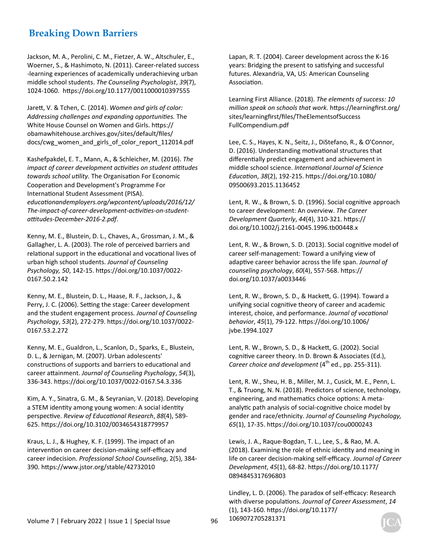Jackson, M. A., Perolini, C. M., Fietzer, A. W., Altschuler, E., Woerner, S., & Hashimoto, N. (2011). Career-related success -learning experiences of academically underachieving urban middle school students. *The Counseling Psychologist*, *39*(7), 1024-1060. hƩps://doi.org/10.1177/0011000010397555

JareƩ, V. & Tchen, C. (2014). *Women and girls of color: Addressing challenges and expanding opportuniƟes.* The White House Counsel on Women and Girls. https:// obamawhitehouse.archives.gov/sites/default/files/ docs/cwg\_women\_and\_girls\_of\_color\_report\_112014.pdf

Kashefpakdel, E. T., Mann, A., & Schleicher, M. (2016). *The impact of career development acƟviƟes on student aƫtudes towards school uƟlity*. The OrganisaƟon For Economic Cooperation and Development's Programme For International Student Assessment (PISA). *educaƟonandemployers.org/wpcontent/uploads/2016/12/ The-impact-of-career-development-acƟviƟes-on-studentaƫtudes-December-2016-2.pdf*.

Kenny, M. E., Blustein, D. L., Chaves, A., Grossman, J. M., & Gallagher, L. A. (2003). The role of perceived barriers and relational support in the educational and vocational lives of urban high school students. *Journal of Counseling Psychology, 50*, 142-15. hƩps://doi.org/10.1037/0022- 0167.50.2.142

Kenny, M. E., Blustein, D. L., Haase, R. F., Jackson, J., & Perry, J. C. (2006). Setting the stage: Career development and the student engagement process. *Journal of Counseling Psychology*, *53*(2), 272-279. hƩps://doi.org/10.1037/0022- 0167.53.2.272

Kenny, M. E., Gualdron, L., Scanlon, D., Sparks, E., Blustein, D. L., & Jernigan, M. (2007). Urban adolescents' constructions of supports and barriers to educational and career attainment. Journal of Counseling Psychology, 54(3), 336-343. hƩps://doi.org/10.1037/0022-0167.54.3.336

Kim, A. Y., Sinatra, G. M., & Seyranian, V. (2018). Developing a STEM identity among young women: A social identity perspecƟve. *Review of EducaƟonal Research*, *88*(4), 589- 625. hƩps://doi.org/10.3102/0034654318779957

Kraus, L. J., & Hughey, K. F. (1999). The impact of an intervention on career decision-making self-efficacy and career indecision. *Professional School Counseling*, 2(5), 384- 390. hƩps://www.jstor.org/stable/42732010

Lapan, R. T. (2004). Career development across the K-16 years: Bridging the present to satisfying and successful futures. Alexandria, VA, US: American Counseling Association.

Learning First Alliance. (2018). *The elements of success: 10*  million speak on schools that work. https://learningfirst.org/ sites/learningfirst/files/TheElementsofSuccess FullCompendium.pdf

Lee, C. S., Hayes, K. N., Seitz, J., DiStefano, R., & O'Connor, D. (2016). Understanding motivational structures that differentially predict engagement and achievement in middle school science. *InternaƟonal Journal of Science EducaƟon*, *38*(2), 192-215. hƩps://doi.org/10.1080/ 09500693.2015.1136452

Lent, R. W., & Brown, S. D. (1996). Social cognitive approach to career development: An overview. *The Career Development Quarterly*, *44*(4), 310-321. hƩps:// doi.org/10.1002/j.2161-0045.1996.tb00448.x

Lent, R. W., & Brown, S. D. (2013). Social cognitive model of career self-management: Toward a unifying view of adaptive career behavior across the life span. *Journal of counseling psychology*, *60*(4), 557-568. hƩps:// doi.org/10.1037/a0033446

Lent, R. W., Brown, S. D., & HackeƩ, G. (1994). Toward a unifying social cognitive theory of career and academic interest, choice, and performance. *Journal of vocational behavior*, *45*(1), 79-122. hƩps://doi.org/10.1006/ jvbe.1994.1027

Lent, R. W., Brown, S. D., & HackeƩ, G. (2002). Social cognitive career theory. In D. Brown & Associates (Ed.), *Career choice and development* (4<sup>th</sup> ed., pp. 255-311).

Lent, R. W., Sheu, H. B., Miller, M. J., Cusick, M. E., Penn, L. T., & Truong, N. N. (2018). Predictors of science, technology, engineering, and mathematics choice options: A metaanalytic path analysis of social-cognitive choice model by gender and race/ethnicity. *Journal of Counseling Psychology, 65*(1), 17-35. hƩps://doi.org/10.1037/cou0000243

Lewis, J. A., Raque-Bogdan, T. L., Lee, S., & Rao, M. A. (2018). Examining the role of ethnic identity and meaning in life on career decision-making self-efficacy. *Journal of Career Development*, *45*(1), 68-82. hƩps://doi.org/10.1177/ 0894845317696803

Lindley, L. D. (2006). The paradox of self-efficacy: Research with diverse populations. Journal of Career Assessment, 14 (1), 143-160. hƩps://doi.org/10.1177/ 1069072705281371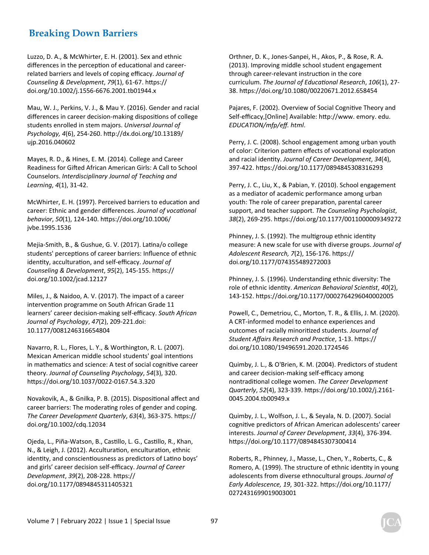Luzzo, D. A., & McWhirter, E. H. (2001). Sex and ethnic differences in the perception of educational and careerrelated barriers and levels of coping efficacy. *Journal of Counseling & Development*, *79*(1), 61-67. hƩps:// doi.org/10.1002/j.1556-6676.2001.tb01944.x

Mau, W. J., Perkins, V. J., & Mau Y. (2016). Gender and racial differences in career decision-making dispositions of college students enrolled in stem majors. *Universal Journal of Psychology, 4*(6), 254-260. hƩp://dx.doi.org/10.13189/ ujp.2016.040602

Mayes, R. D., & Hines, E. M. (2014). College and Career Readiness for Gifted African American Girls: A Call to School Counselors. *Interdisciplinary Journal of Teaching and Learning*, *4*(1), 31-42.

McWhirter, E. H. (1997). Perceived barriers to education and career: Ethnic and gender differences. *Journal of vocational behavior*, *50*(1), 124-140. hƩps://doi.org/10.1006/ jvbe.1995.1536

Mejia-Smith, B., & Gushue, G. V. (2017). Latina/o college students' perceptions of career barriers: Influence of ethnic identity, acculturation, and self-efficacy. Journal of *Counseling & Development*, *95*(2), 145-155. hƩps:// doi.org/10.1002/jcad.12127

Miles, J., & Naidoo, A. V. (2017). The impact of a career intervention programme on South African Grade 11 learners' career decision-making self-efficacy. *South African Journal of Psychology*, *47*(2), 209-221.doi: 10.1177/0081246316654804

Navarro, R. L., Flores, L. Y., & Worthington, R. L. (2007). Mexican American middle school students' goal intentions in mathematics and science: A test of social cognitive career theory. *Journal of Counseling Psychology*, *54*(3), 320. https://doi.org/10.1037/0022-0167.54.3.320

Novakovik, A., & Gnilka, P. B. (2015). Dispositional affect and career barriers: The moderating roles of gender and coping. *The Career Development Quarterly*, *63*(4), 363-375. hƩps:// doi.org/10.1002/cdq.12034

Ojeda, L., Piña-Watson, B., CasƟllo, L. G., CasƟllo, R., Khan, N., & Leigh, J. (2012). Acculturation, enculturation, ethnic identity, and conscientiousness as predictors of Latino boys' and girls' career decision self-efficacy. *Journal of Career Development*, *39*(2), 208-228. hƩps:// doi.org/10.1177/0894845311405321

Orthner, D. K., Jones-Sanpei, H., Akos, P., & Rose, R. A. (2013). Improving middle school student engagement through career-relevant instruction in the core curriculum. *The Journal of EducaƟonal Research*, *106*(1), 27- 38. hƩps://doi.org/10.1080/00220671.2012.658454

Pajares, F. (2002). Overview of Social Cognitive Theory and Self-efficacy, [Online] Available: http://www. emory. edu. *EDUCATION/mfp/eff. html*.

Perry, J. C. (2008). School engagement among urban youth of color: Criterion pattern effects of vocational exploration and racial idenƟty. *Journal of Career Development*, *34*(4), 397-422. hƩps://doi.org/10.1177/0894845308316293

Perry, J. C., Liu, X., & Pabian, Y. (2010). School engagement as a mediator of academic performance among urban youth: The role of career preparation, parental career support, and teacher support. *The Counseling Psychologist*, *38*(2), 269-295. hƩps://doi.org/10.1177/0011000009349272

Phinney, J. S. (1992). The multigroup ethnic identity measure: A new scale for use with diverse groups. *Journal of Adolescent Research, 7*(2), 156-176. hƩps:// doi.org/10.1177/074355489272003

Phinney, J. S. (1996). Understanding ethnic diversity: The role of ethnic identity. American Behavioral Scientist, 40(2), 143-152. hƩps://doi.org/10.1177/0002764296040002005

Powell, C., Demetriou, C., Morton, T. R., & Ellis, J. M. (2020). A CRT-informed model to enhance experiences and outcomes of racially minoritized students. Journal of *Student Affairs Research and PracƟce*, 1-13. hƩps:// doi.org/10.1080/19496591.2020.1724546

Quimby, J. L., & O'Brien, K. M. (2004). Predictors of student and career decision-making self-efficacy among nontradiƟonal college women. *The Career Development Quarterly*, *52*(4), 323-339. hƩps://doi.org/10.1002/j.2161- 0045.2004.tb00949.x

Quimby, J. L., Wolfson, J. L., & Seyala, N. D. (2007). Social cognitive predictors of African American adolescents' career interests. *Journal of Career Development*, *33*(4), 376-394. hƩps://doi.org/10.1177/0894845307300414

Roberts, R., Phinney, J., Masse, L., Chen, Y., Roberts, C., & Romero, A. (1999). The structure of ethnic identity in young adolescents from diverse ethnocultural groups. *Journal of Early Adolescence, 19*, 301-322. hƩps://doi.org/10.1177/ 0272431699019003001